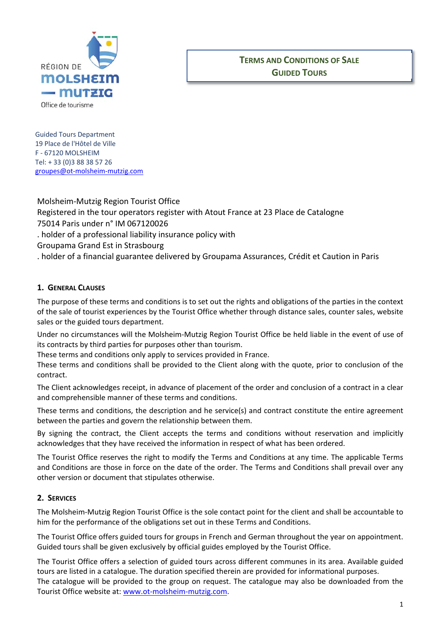

# **TERMS AND CONDITIONS OF SALE GUIDED TOURS**

 Guided Tours Department 19 Place de l'Hôtel de Ville F ‐ 67120 MOLSHEIM Tel: + 33 (0)3 88 38 57 26 groupes@ot‐molsheim‐mutzig.com

Molsheim‐Mutzig Region Tourist Office Registered in the tour operators register with Atout France at 23 Place de Catalogne 75014 Paris under n° IM 067120026 . holder of a professional liability insurance policy with Groupama Grand Est in Strasbourg . holder of a financial guarantee delivered by Groupama Assurances, Crédit et Caution in Paris

### **1. GENERAL CLAUSES**

The purpose of these terms and conditions is to set out the rights and obligations of the parties in the context of the sale of tourist experiences by the Tourist Office whether through distance sales, counter sales, website sales or the guided tours department.

Under no circumstances will the Molsheim‐Mutzig Region Tourist Office be held liable in the event of use of its contracts by third parties for purposes other than tourism.

These terms and conditions only apply to services provided in France.

These terms and conditions shall be provided to the Client along with the quote, prior to conclusion of the contract.

The Client acknowledges receipt, in advance of placement of the order and conclusion of a contract in a clear and comprehensible manner of these terms and conditions.

These terms and conditions, the description and he service(s) and contract constitute the entire agreement between the parties and govern the relationship between them.

By signing the contract, the Client accepts the terms and conditions without reservation and implicitly acknowledges that they have received the information in respect of what has been ordered.

The Tourist Office reserves the right to modify the Terms and Conditions at any time. The applicable Terms and Conditions are those in force on the date of the order. The Terms and Conditions shall prevail over any other version or document that stipulates otherwise.

### **2. SERVICES**

The Molsheim‐Mutzig Region Tourist Office is the sole contact point for the client and shall be accountable to him for the performance of the obligations set out in these Terms and Conditions.

The Tourist Office offers guided tours for groups in French and German throughout the year on appointment. Guided tours shall be given exclusively by official guides employed by the Tourist Office.

The Tourist Office offers a selection of guided tours across different communes in its area. Available guided tours are listed in a catalogue. The duration specified therein are provided for informational purposes. The catalogue will be provided to the group on request. The catalogue may also be downloaded from the Tourist Office website at: www.ot‐molsheim‐mutzig.com.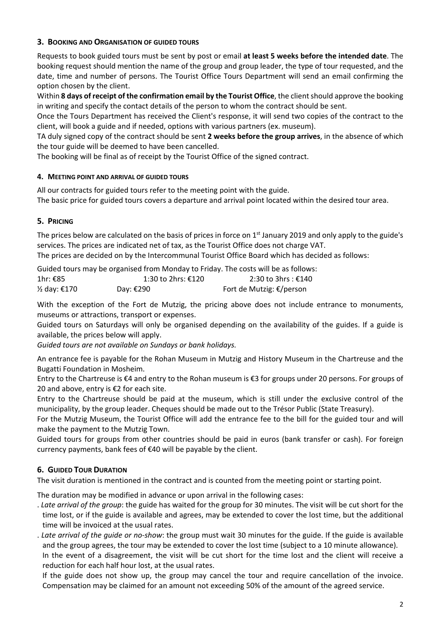#### **3. BOOKING AND ORGANISATION OF GUIDED TOURS**

Requests to book guided tours must be sent by post or email **at least 5 weeks before the intended date**. The booking request should mention the name of the group and group leader, the type of tour requested, and the date, time and number of persons. The Tourist Office Tours Department will send an email confirming the option chosen by the client.

Within **8 days of receipt of the confirmation email by the Tourist Office**, the client should approve the booking in writing and specify the contact details of the person to whom the contract should be sent.

Once the Tours Department has received the Client's response, it will send two copies of the contract to the client, will book a guide and if needed, options with various partners (ex. museum).

TA duly signed copy of the contract should be sent **2 weeks before the group arrives**, in the absence of which the tour guide will be deemed to have been cancelled.

The booking will be final as of receipt by the Tourist Office of the signed contract.

#### **4. MEETING POINT AND ARRIVAL OF GUIDED TOURS**

All our contracts for guided tours refer to the meeting point with the guide. The basic price for guided tours covers a departure and arrival point located within the desired tour area.

#### **5. PRICING**

The prices below are calculated on the basis of prices in force on  $1<sup>st</sup>$  January 2019 and only apply to the guide's services. The prices are indicated net of tax, as the Tourist Office does not charge VAT. The prices are decided on by the Intercommunal Tourist Office Board which has decided as follows:

Guided tours may be organised from Monday to Friday. The costs will be as follows:

| 1hr: €85    | 1:30 to 2hrs: €120 | 2:30 to 3hrs : €140                |
|-------------|--------------------|------------------------------------|
| ½ day: €170 | Day: €290          | Fort de Mutzig: $\epsilon$ /person |

With the exception of the Fort de Mutzig, the pricing above does not include entrance to monuments, museums or attractions, transport or expenses.

Guided tours on Saturdays will only be organised depending on the availability of the guides. If a guide is available, the prices below will apply.

*Guided tours are not available on Sundays or bank holidays.* 

An entrance fee is payable for the Rohan Museum in Mutzig and History Museum in the Chartreuse and the Bugatti Foundation in Mosheim.

Entry to the Chartreuse is €4 and entry to the Rohan museum is €3 for groups under 20 persons. For groups of 20 and above, entry is €2 for each site.

Entry to the Chartreuse should be paid at the museum, which is still under the exclusive control of the municipality, by the group leader. Cheques should be made out to the Trésor Public (State Treasury).

For the Mutzig Museum, the Tourist Office will add the entrance fee to the bill for the guided tour and will make the payment to the Mutzig Town.

Guided tours for groups from other countries should be paid in euros (bank transfer or cash). For foreign currency payments, bank fees of €40 will be payable by the client.

#### **6. GUIDED TOUR DURATION**

The visit duration is mentioned in the contract and is counted from the meeting point or starting point.

The duration may be modified in advance or upon arrival in the following cases:

- . *Late arrival of the group*: the guide has waited for the group for 30 minutes. The visit will be cut short for the time lost, or if the guide is available and agrees, may be extended to cover the lost time, but the additional time will be invoiced at the usual rates.
- . *Late arrival of the guide or no‐show*: the group must wait 30 minutes for the guide. If the guide is available and the group agrees, the tour may be extended to cover the lost time (subject to a 10 minute allowance). In the event of a disagreement, the visit will be cut short for the time lost and the client will receive a reduction for each half hour lost, at the usual rates.

 If the guide does not show up, the group may cancel the tour and require cancellation of the invoice. Compensation may be claimed for an amount not exceeding 50% of the amount of the agreed service.